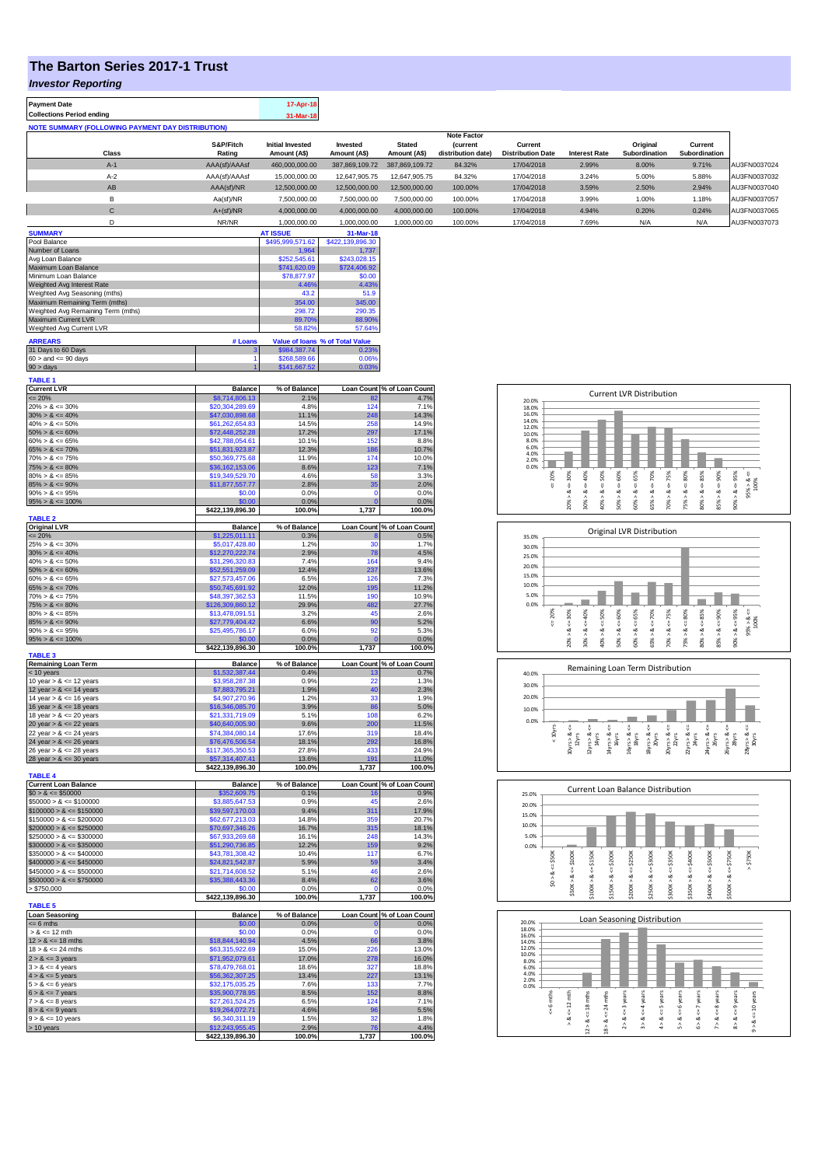## **The Barton Series 2017-1 Trust**

*Investor Reporting*

Γ

Г

| Payment Date                                             |               | 17-Apr-18               |                |                |                    |                          |                      |               |               |              |
|----------------------------------------------------------|---------------|-------------------------|----------------|----------------|--------------------|--------------------------|----------------------|---------------|---------------|--------------|
| Collections Period ending                                |               | 31-Mar-18               |                |                |                    |                          |                      |               |               |              |
| <b>NOTE SUMMARY (FOLLOWING PAYMENT DAY DISTRIBUTION)</b> |               |                         |                |                |                    |                          |                      |               |               |              |
|                                                          |               |                         |                |                | <b>Note Factor</b> |                          |                      |               |               |              |
|                                                          | S&P/Fitch     | <b>Initial Invested</b> | Invested       | <b>Stated</b>  | <b>Current</b>     | Current                  |                      | Original      | Current       |              |
| <b>Class</b>                                             | Rating        | Amount (A\$)            | Amount (A\$)   | Amount (A\$)   | distribution date) | <b>Distribution Date</b> | <b>Interest Rate</b> | Subordination | Subordination |              |
| $A-1$                                                    | AAA(sf)/AAAsf | 460,000,000.00          | 387.869.109.72 | 387.869.109.72 | 84.32%             | 17/04/2018               | 2.99%                | 8.00%         | 9.71%         | AU3FN0037024 |
| $A-2$                                                    | AAA(sf)/AAAsf | 15,000,000,00           | 12.647.905.75  | 12.647.905.75  | 84.32%             | 17/04/2018               | 3.24%                | 5.00%         | 5.88%         | AU3FN0037032 |
| <b>AB</b>                                                | AAA(sf)/NR    | 12.500.000.00           | 12.500.000.00  | 12.500.000.00  | 100.00%            | 17/04/2018               | 3.59%                | 2.50%         | 2.94%         | AU3FN0037040 |
| в                                                        | Aa(sf)/NR     | 7.500.000.00            | 7.500.000.00   | 7.500.000.00   | 100.00%            | 17/04/2018               | 3.99%                | 1.00%         | 1.18%         | AU3FN0037057 |
| C.                                                       | $A+(sf)/NR$   | 4.000.000.00            | 4.000.000.00   | 4.000.000.00   | 100.00%            | 17/04/2018               | 4.94%                | 0.20%         | 0.24%         | AU3FN0037065 |
|                                                          | NR/NR         | 1.000.000.00            | 1.000.000.00   | 1.000.000.00   | 100.00%            | 17/04/2018               | 7.69%                | N/A           | N/A           | AU3FN0037073 |
|                                                          |               |                         |                |                |                    |                          |                      |               |               |              |

| <b>SUMMARY</b>                     |         | <b>AT ISSUE</b>  | 31-Mar-18                       |
|------------------------------------|---------|------------------|---------------------------------|
| Pool Balance                       |         | \$495,999,571.62 | \$422,139,896.30                |
| Number of Loans                    |         | 1.964            | 1.737                           |
| Avg Loan Balance                   |         | \$252,545.61     | \$243,028.15                    |
| Maximum Loan Balance               |         | \$741,620.09     | \$724,406.92                    |
| Minimum Loan Balance               |         | \$78,877.97      | \$0.00                          |
| Weighted Avg Interest Rate         |         | 4.46%            | 4.43%                           |
| Weighted Avg Seasoning (mths)      |         | 43.2             | 51.9                            |
| Maximum Remaining Term (mths)      |         | 354.00           | 345.00                          |
| Weighted Avg Remaining Term (mths) |         | 298.72           | 290.35                          |
| <b>Maximum Current LVR</b>         |         | 89.70%           | 88.90%                          |
| Weighted Avg Current LVR           |         | 58.82%           | 57.64%                          |
| <b>ARREARS</b>                     | # Loans |                  | Value of loans % of Total Value |
| 31 Days to 60 Days                 | з       | \$984,387.74     | 0.23%                           |
| .                                  |         | ---------        | - ----                          |

| C                         | <b>Delense</b> | <b>M. of Polonge</b> | $l$ can $C$ asset |
|---------------------------|----------------|----------------------|-------------------|
| <b>TABLE 1</b>            |                |                      |                   |
| $90 >$ days               |                |                      |                   |
| $60 >$ and $\leq 90$ days |                | \$268,589,66         | ነ.06%             |

| <b>Current LVR</b>          | <b>Balance</b>                      | % of Balance   |                   | Loan Count % of Loan Count |
|-----------------------------|-------------------------------------|----------------|-------------------|----------------------------|
| $= 20%$                     | \$8,714,806.13                      | 2.1%           | 82                | 4.7%                       |
| $20\% > 8 \le 30\%$         | \$20,304,289.69                     | 4.8%           | 124               | 7.1%                       |
| $30\% > 8 \le 40\%$         | \$47,030,898.68                     | 11.1%          | 248               | 14.3%                      |
| $40\% > 8 \le 50\%$         | \$61,262,654.83                     | 14.5%          | 258               | 14.9%                      |
| $50\% > 8 \le 60\%$         |                                     |                | 297               |                            |
|                             | \$72,448,252.28                     | 17.2%          |                   | 17.1%                      |
| $60\% > 8 \le 65\%$         | \$42,788,054.61                     | 10.1%          | 152               | 8.8%                       |
| $65\% > 8 \le 70\%$         | \$51,831,923.87                     | 12.3%          | 186               | 10.7%                      |
| $70\% > 8 \le 75\%$         | \$50,369,775.68                     | 11.9%          | 174               | 10.0%                      |
| $75\% > 8 \le 80\%$         | \$36,162,153.06                     | 8.6%           | 123               | 7.1%                       |
| $80\% > 8 \le 85\%$         | \$19,349,529.70                     | 4.6%           | 58                | 3.3%                       |
| $85\% > 8 \le 90\%$         | \$11,877,557.77                     | 2.8%           | 35                | 2.0%                       |
| $90\% > 8 \le 95\%$         | \$0.00                              | 0.0%           | O                 | 0.0%                       |
|                             |                                     |                | O                 |                            |
| $95\% > 8 \le 100\%$        | \$0.00                              | 0.0%           | 1,737             | 0.0%                       |
| <b>TABLE 2</b>              | \$422,139,896.30                    | 100.0%         |                   | 100.0%                     |
|                             |                                     |                |                   |                            |
| <b>Original LVR</b>         | <b>Balance</b>                      | % of Balance   |                   | Loan Count % of Loan Count |
| $= 20%$                     | \$1,225,011.11                      | 0.3%           |                   | 0.5%                       |
| $25\% > 8 \le 30\%$         | \$5,017,428.80                      | 1.2%           | 30                | 1.7%                       |
| $30\% > 8 \le 40\%$         | \$12,270,222.74                     | 2.9%           | 78                | 4.5%                       |
| $40\% > 8 \le 50\%$         | \$31,296,320.83                     | 7.4%           | 164               | 9.4%                       |
| $50\% > 8 \le 60\%$         | \$52,551,259.09                     | 12.4%          | 237               | 13.6%                      |
| $60\% > 8 \le 65\%$         | \$27,573,457.06                     | 6.5%           | 126               | 7.3%                       |
| $65\% > 8 \le 70\%$         | \$50,745,691.92                     | 12.0%          | 195               | 11.2%                      |
|                             |                                     |                |                   |                            |
| $70\% > 8 \le 75\%$         | \$48,397,362.53                     | 11.5%          | 190               | 10.9%                      |
| $75\% > 8 \le 80\%$         | \$126,309,860.12                    | 29.9%          | 482               | 27.7%                      |
| $80\% > 8 \le 85\%$         | \$13,478,091.51                     | 3.2%           | 45                | 2.6%                       |
| $85\% > 8 \le 90\%$         | \$27,779,404.42                     | 6.6%           | 90                | 5.2%                       |
| $90\% > 8 \le 95\%$         | \$25,495,786.17                     | 6.0%           | 92                | 5.3%                       |
| $95\% > 8 \le 100\%$        | \$0.00                              | 0.0%           | O                 | 0.0%                       |
|                             | \$422,139,896.30                    | 100.0%         | 1,737             | 100.0%                     |
| <b>TABLE 3</b>              |                                     |                |                   |                            |
| <b>Remaining Loan Term</b>  | <b>Balance</b>                      | % of Balance   |                   | Loan Count % of Loan Count |
| < 10 years                  | \$1,532,387.44                      | 0.4%           | 13                | 0.7%                       |
| 10 year $> 8 \le 12$ years  | \$3,958,287.38                      | 0.9%           | 22                | 1.3%                       |
| 12 year $> 8 \le 14$ years  | \$7,883,795.21                      | 1.9%           | 40                | 2.3%                       |
|                             |                                     |                | 33                | 1.9%                       |
| 14 year $> 8 \le 16$ years  | \$4,907,270.96                      | 1.2%           |                   |                            |
| 16 year $> 8 \le 18$ years  | \$16,346,085.70                     | 3.9%           | 86                | 5.0%                       |
| 18 year $> 8 \le 20$ years  | \$21,331,719.09                     | 5.1%           | 108               | 6.2%                       |
|                             |                                     |                |                   |                            |
| 20 year $> 8 \le 22$ years  | \$40,640,005.90                     | 9.6%           | 200               | 11.5%                      |
| 22 year $> 8 \le 24$ years  | \$74,384,080.14                     | 17.6%          | 319               | 18.4%                      |
|                             |                                     | 18.1%          | 292               | 16.8%                      |
| 24 year $> 8 \le 26$ years  | \$76,476,506.54                     |                |                   |                            |
| 26 year $> 8 \le 28$ years  | \$117,365,350.53                    | 27.8%          | 433               | 24.9%                      |
| 28 year $> 8 \le 30$ years  | \$57,314,407.41                     | 13.6%          | 191               | 11.0%                      |
|                             | \$422,139,896.30                    | 100.0%         | 1,737             | 100.0%                     |
| <b>TABLE 4</b>              |                                     |                |                   |                            |
| <b>Current Loan Balance</b> | <b>Balance</b>                      | % of Balance   | <b>Loan Count</b> | % of Loan Count            |
| $$0 > 8 \le $50000$         | \$352,609.75                        | 0.1%           | 16                | 0.9%                       |
| $$50000 > 8 \le $100000$    | \$3,885,647.53                      | 0.9%           | 45                | 2.6%                       |
| $$100000 > 8 \le $150000$   | \$39,597,170.03                     | 9.4%           | 311               | 17.9%                      |
| $$150000 > 8 \le $200000$   | \$62,677,213.03                     | 14.8%          | 359               | 20.7%                      |
| $$200000 > 8 \leq $250000$  | \$70,697,346.26                     | 16.7%          | 315               | 18.1%                      |
| $$250000 > 8 \leq $300000$  | \$67,933,269.68                     | 16.1%          | 248               | 14.3%                      |
|                             |                                     |                | 159               | 9.2%                       |
| $$300000 > 8 \leq $350000$  | \$51,290,736.85                     | 12.2%          |                   |                            |
| $$350000 > 8 \le $400000$   | \$43,781,308.42                     | 10.4%          | 117               | 6.7%                       |
| $$400000 > 8 \le $450000$   | \$24,821,542.87                     | 5.9%           | 59                | 3.4%                       |
| $$450000 > 8 \le $500000$   | \$21,714,608.52                     | 5.1%           | 46                | 2.6%                       |
| $$500000 > 8 \le $750000$   | \$35,388,443.36                     | 8.4%           | 62                | 3.6%                       |
| > \$750,000                 | \$0.00                              | 0.0%           | n                 | 0.0%                       |
| <b>TABLE 5</b>              | \$422,139,896.30                    | 100.0%         | 1.737             | 100.0%                     |
| <b>Loan Seasoning</b>       | <b>Balance</b>                      | % of Balance   |                   | Loan Count % of Loan Count |
| $= 6$ mths                  | \$0.00                              | 0.0%           | O                 | 0.0%                       |
| $> 8 \le 12$ mth            | \$0.00                              | 0.0%           | $\mathbf{0}$      | 0.0%                       |
| $12 > 8 \le 18$ mths        |                                     |                |                   |                            |
|                             | \$18,844,140.94                     | 4.5%           | 66                | 3.8%                       |
| $18 > 8 \le 24$ mths        | \$63,315,922.69                     | 15.0%          | 226               | 13.0%                      |
| $2 > 8 \le 3$ years         | \$71,952,079.61                     | 17.0%          | 278               | 16.0%                      |
| $3 > 8 \le 4$ years         | \$78,479,768.01                     | 18.6%          | 327               | 18.8%                      |
| $4 > 8 \le 5$ years         | \$56,362,307.25                     | 13.4%          | 227               | 13.1%                      |
| $5 > 8 \le 6$ years         | \$32,175,035.25                     | 7.6%           | 133               | 7.7%                       |
| $6 > 8 \le 7$ years         | \$35,900,778.95                     | 8.5%           | 152               | 8.8%                       |
| $7 > 8 \le 8$ years         | \$27,261,524.25                     | 6.5%           | 124               | 7.1%                       |
| $8 > 8 \le 9$ years         | \$19,264,072.71                     | 4.6%           | 96                | 5.5%                       |
|                             | \$6,340,311.19                      | 1.5%           | 32                | 1.8%                       |
| $9 > 8 \le 10$ years        |                                     |                |                   |                            |
| $> 10$ years                | \$12,243,955.45<br>\$422,139,896.30 | 2.9%<br>100.0% | 76<br>1,737       | 4.4%<br>100.0%             |

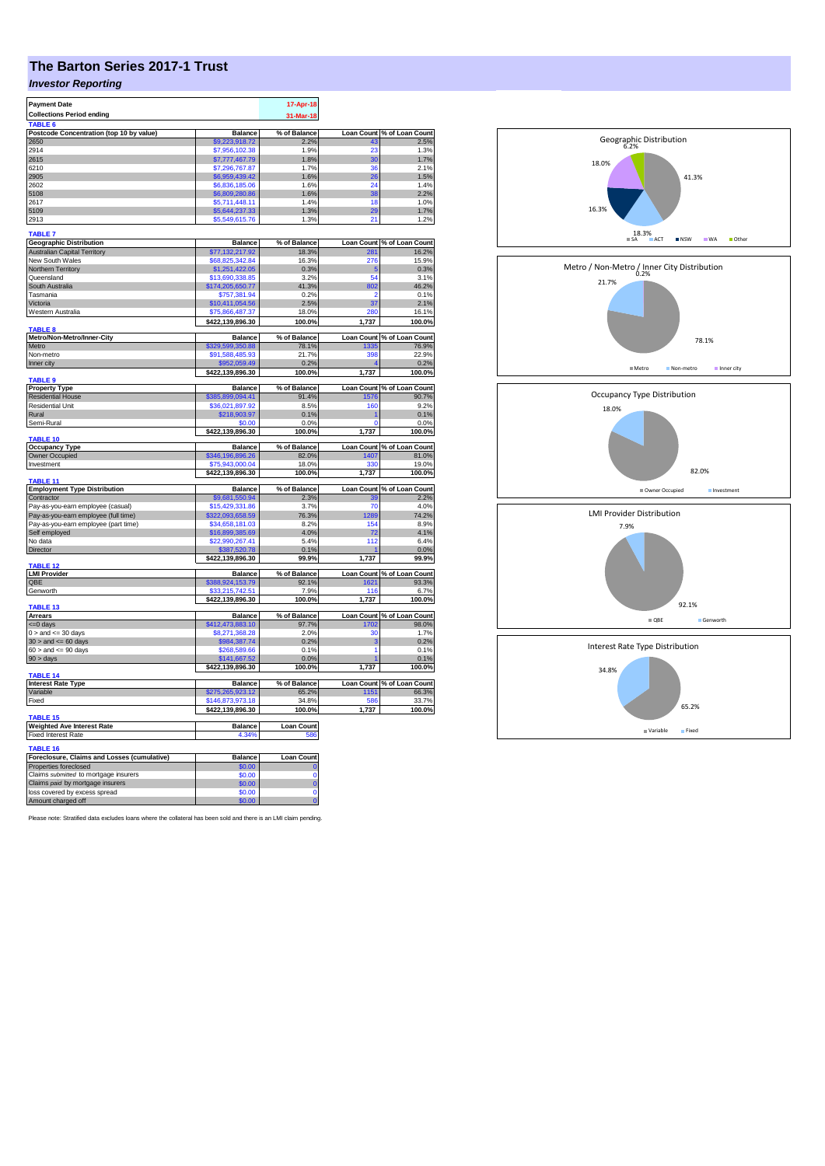## **The Barton Series 2017-1 Trust**

## *Investor Reporting*

| <b>Payment Date</b>                                                          |                                     | 17-Apr-18             |                   |                                     |
|------------------------------------------------------------------------------|-------------------------------------|-----------------------|-------------------|-------------------------------------|
| <b>Collections Period ending</b>                                             |                                     | 31-Mar-18             |                   |                                     |
| TABLE <sub>6</sub>                                                           |                                     |                       |                   |                                     |
| Postcode Concentration (top 10 by value)                                     | <b>Balance</b>                      | % of Balance          |                   | Loan Count % of Loan Count          |
| 2650                                                                         | \$9,223,918.72                      | 2.2%                  |                   | 2.5%                                |
| 2914                                                                         | \$7,956,102.38                      | 1.9%                  | 23                | 1.3%                                |
| 2615                                                                         | \$7,777,467.79                      | 1.8%                  | 30                | 1.7%                                |
| 6210                                                                         | \$7,296,767.87                      | 1.7%                  | 36                | 2.1%                                |
| 2905                                                                         | \$6,959,439.42                      | 1.6%                  | 26                | 1.5%                                |
| 2602                                                                         | \$6,836,185.06                      | 1.6%                  | 24                | 1.4%                                |
| 5108                                                                         | \$6,809,280.86                      | 1.6%                  | 38                | 2.2%<br>1.0%                        |
| 2617<br>5109                                                                 | \$5,711,448.11                      | 1.4%                  | 18<br>29          |                                     |
| 2913                                                                         | \$5,644,237.33<br>\$5,549,615.76    | 1.3%<br>1.3%          | 21                | 1.7%<br>1.2%                        |
|                                                                              |                                     |                       |                   |                                     |
| <b>TABLE 7</b>                                                               |                                     |                       |                   |                                     |
| <b>Geographic Distribution</b>                                               | <b>Balance</b>                      | % of Balance<br>18.3% | 8۰ ج              | Loan Count % of Loan Count<br>16.2% |
| <b>Australian Capital Territory</b><br>New South Wales                       | \$77,132,217.92<br>\$68,825,342.84  | 16.3%                 | 276               | 15.9%                               |
| Northern Territory                                                           | \$1,251,422.05                      | 0.3%                  | 5                 | 0.3%                                |
| Queensland                                                                   | \$13,690,338.85                     | 3.2%                  | 54                | 3.1%                                |
| South Australia                                                              | \$174,205,650.77                    | 41.3%                 | 802               | 46.2%                               |
| Tasmania                                                                     | \$757,381.94                        | 0.2%                  | 2                 | 0.1%                                |
| Victoria                                                                     | \$10,411,054.56                     | 2.5%                  | 37                | 2.1%                                |
| Western Australia                                                            | \$75,866,487.37                     | 18.0%                 | 280               | 16.1%                               |
|                                                                              | \$422,139,896.30                    | 100.0%                | 1,737             | 100.0%                              |
| TABLE <sub>8</sub>                                                           |                                     |                       |                   |                                     |
| Metro/Non-Metro/Inner-City<br>Metro                                          | <b>Balance</b>                      | % of Balance          | 1335              | Loan Count % of Loan Count          |
| Non-metro                                                                    | \$329,599,350.88<br>\$91,588,485.93 | 78.1%<br>21.7%        | 398               | 76.9%<br>22.9%                      |
| Inner city                                                                   | \$952,059.49                        | 0.2%                  |                   | 0.2%                                |
|                                                                              | \$422,139,896.30                    | 100.0%                | 1,737             | 100.0%                              |
| <b>TABLE 9</b>                                                               |                                     |                       |                   |                                     |
| <b>Property Type</b>                                                         | <b>Balance</b>                      | % of Balance          |                   | Loan Count % of Loan Count          |
| <b>Residential House</b>                                                     | \$385,899,094.41                    | 91.4%                 | 1576              | 90.7%                               |
| <b>Residential Unit</b>                                                      | \$36,021,897.92                     | 8.5%                  | 160               | 9.2%                                |
| Rural                                                                        | \$218,903.97                        | 0.1%                  |                   | 0.1%                                |
| Semi-Rural                                                                   | \$0.00                              | 0.0%                  | O                 | 0.0%                                |
|                                                                              | \$422,139,896.30                    | 100.0%                | 1,737             | 100.0%                              |
| <b>TABLE 10</b>                                                              |                                     |                       |                   |                                     |
| <b>Occupancy Type</b><br>Owner Occupied                                      | <b>Balance</b><br>\$346,196,896.26  | % of Balance<br>82.0% | 1407              | Loan Count % of Loan Count<br>81.0% |
| Investment                                                                   | \$75,943,000.04                     | 18.0%                 | 330               | 19.0%                               |
|                                                                              | \$422,139,896.30                    | 100.0%                | 1,737             | 100.0%                              |
| TABLE 11                                                                     |                                     |                       |                   |                                     |
| <b>Employment Type Distribution</b>                                          | <b>Balance</b>                      | % of Balance          | <b>Loan Count</b> | % of Loan Count                     |
| Contractor                                                                   | \$9,681,550.94                      | 2.3%                  |                   | 2.2%                                |
| Pay-as-you-earn employee (casual)                                            | \$15,429,331.86                     | 3.7%                  | 70                | 4.0%                                |
| Pay-as-you-earn employee (full time)<br>Pay-as-you-earn employee (part time) | \$322,093,658.59<br>\$34,658,181.03 | 76.3%<br>8.2%         | 1289<br>154       | 74.2%<br>8.9%                       |
| Self employed                                                                | \$16,899,385.69                     | 4.0%                  | 72                | 4.1%                                |
| No data                                                                      | \$22,990,267.41                     | 5.4%                  | 112               | 6.4%                                |
| Director                                                                     | \$387,520.78                        | 0.1%                  |                   | 0.0%                                |
|                                                                              | \$422,139,896.30                    | 99.9%                 | 1,737             | 99.9%                               |
| TABLE 12                                                                     |                                     |                       |                   |                                     |
| <b>LMI Provider</b>                                                          | <b>Balance</b>                      | % of Balance          |                   | Loan Count % of Loan Count          |
| QBE                                                                          | \$388,924,153.79                    | 92.1%                 | 1621              | 93.3%                               |
| Genworth                                                                     | 33.215.742.51<br>\$422,139,896.30   | 7.9%<br>100.0%        | 116<br>1,737      | 6.7%                                |
| TABLE <sub>13</sub>                                                          |                                     |                       |                   | 100.0%                              |
| <b>Arrears</b>                                                               | <b>Balance</b>                      | % of Balance          |                   | Loan Count % of Loan Count          |
| <= 0 days                                                                    | \$412,473,883.10                    | 97.7%                 | 1702              | 98.0%                               |
| $0 >$ and $\leq$ 30 days                                                     | \$8,271,368.28                      | 2.0%                  | 30                | 1.7%                                |
| $30$ > and <= 60 days                                                        | \$984,387.74                        | 0.2%                  | з                 | 0.2%                                |
| $60 >$ and $\leq 90$ days                                                    | \$268,589.66                        | 0.1%                  | 1                 | 0.1%                                |
| 90 > days                                                                    | \$141,667.52                        | 0.0%                  |                   | 0.1%                                |
| TABLE 14                                                                     | \$422,139,896.30                    | 100.0%                | 1,737             | 100.0%                              |
| <b>Interest Rate Type</b>                                                    | <b>Balance</b>                      | % of Balance          |                   | Loan Count % of Loan Count          |
| Variable                                                                     | \$275,265,923.12                    | 65.2%                 | 1151              | 66.3%                               |
| Fixed                                                                        | \$146,873,973.18                    | 34.8%                 | 586               | 33.7%                               |
|                                                                              | \$422,139,896.30                    | 100.0%                | 1,737             | 100.0%                              |
| TABLE 15                                                                     |                                     |                       |                   |                                     |
| <b>Weighted Ave Interest Rate</b>                                            | <b>Balance</b>                      | <b>Loan Count</b>     |                   |                                     |
| <b>Fixed Interest Rate</b>                                                   | 4.34%                               | 586                   |                   |                                     |
| TABLE 16                                                                     |                                     |                       |                   |                                     |
| Foreclosure, Claims and Losses (cumulative)                                  | <b>Balance</b>                      | Loan Count            |                   |                                     |
| Properties foreclosed                                                        | \$0.00                              |                       |                   |                                     |
| Claims submitted to mortgage insurers                                        | \$0.00                              | $\Omega$              |                   |                                     |
| Claims paid by mortgage insurers                                             | \$0.00                              | $\overline{0}$        |                   |                                     |
| loss covered by excess spread                                                | \$0.00                              | $\mathbf 0$           |                   |                                     |
| Amount charged off                                                           | \$0.00                              | $\overline{0}$        |                   |                                     |

Please note: Stratified data excludes loans where the collateral has been sold and there is an LMI claim pending.